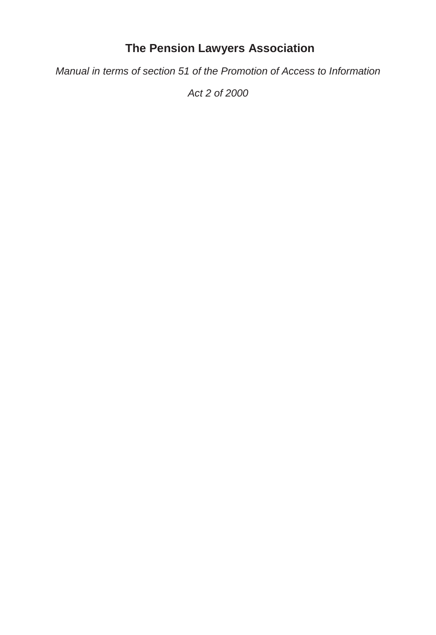# **The Pension Lawyers Association**

*Manual in terms of section 51 of the Promotion of Access to Information* 

*Act 2 of 2000*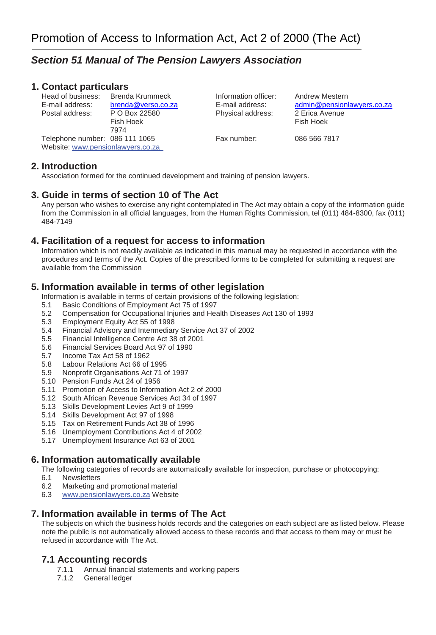# *Section 51 Manual of The Pension Lawyers Association*

#### **1. Contact particulars**

Head of business: Brenda Krummeck Information officer: Andrew Mestern<br>
E-mail address: brenda@verso.co.za E-mail address: admin@pension Postal address: P O Box 22580 Physical address: 2 Erica Avenue

Fish Hoek 7974 Telephone number: 086 111 1065 Fax number: 086 566 7817 Website: www.pensionlawyers.co.za

[admin@pensionlawyers.co.za](mailto:admin@pensionlawyers.co.za)

## **2. Introduction**

Association formed for the continued development and training of pension lawyers.

## **3. Guide in terms of section 10 of The Act**

Any person who wishes to exercise any right contemplated in The Act may obtain a copy of the information guide from the Commission in all official languages, from the Human Rights Commission, tel (011) 484-8300, fax (011) 484-7149

#### **4. Facilitation of a request for access to information**

Information which is not readily available as indicated in this manual may be requested in accordance with the procedures and terms of the Act. Copies of the prescribed forms to be completed for submitting a request are available from the Commission

#### **5. Information available in terms of other legislation**

Information is available in terms of certain provisions of the following legislation:

- 5.1 Basic Conditions of Employment Act 75 of 1997
- 5.2 Compensation for Occupational Injuries and Health Diseases Act 130 of 1993
- 5.3 Employment Equity Act 55 of 1998
- 5.4 Financial Advisory and Intermediary Service Act 37 of 2002
- 5.5 Financial Intelligence Centre Act 38 of 2001
- 5.6 Financial Services Board Act 97 of 1990
- 5.7 Income Tax Act 58 of 1962
- 5.8 Labour Relations Act 66 of 1995
- 5.9 Nonprofit Organisations Act 71 of 1997
- 5.10 Pension Funds Act 24 of 1956
- 5.11 Promotion of Access to Information Act 2 of 2000
- 5.12 South African Revenue Services Act 34 of 1997
- 5.13 Skills Development Levies Act 9 of 1999
- 5.14 Skills Development Act 97 of 1998
- 5.15 Tax on Retirement Funds Act 38 of 1996
- 5.16 Unemployment Contributions Act 4 of 2002
- 5.17 Unemployment Insurance Act 63 of 2001

#### **6. Information automatically available**

The following categories of records are automatically available for inspection, purchase or photocopying:

- 6.1 Newsletters
- 6.2 Marketing and promotional material
- 6.3 www.pensionlawyers.co.za Website

#### **7. Information available in terms of The Act**

The subjects on which the business holds records and the categories on each subject are as listed below. Please note the public is not automatically allowed access to these records and that access to them may or must be refused in accordance with The Act.

#### **7.1 Accounting records**

- 7.1.1 Annual financial statements and working papers
- 7.1.2 General ledger